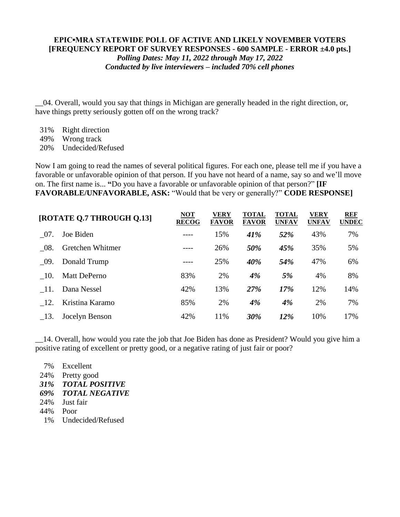## **EPIC▪MRA STATEWIDE POLL OF ACTIVE AND LIKELY NOVEMBER VOTERS [FREQUENCY REPORT OF SURVEY RESPONSES - 600 SAMPLE - ERROR ±4.0 pts.]** *Polling Dates: May 11, 2022 through May 17, 2022 Conducted by live interviewers – included 70% cell phones*

\_\_04. Overall, would you say that things in Michigan are generally headed in the right direction, or, have things pretty seriously gotten off on the wrong track?

- 31% Right direction
- 49% Wrong track

20% Undecided/Refused

Now I am going to read the names of several political figures. For each one, please tell me if you have a favorable or unfavorable opinion of that person. If you have not heard of a name, say so and we'll move on. The first name is... **"**Do you have a favorable or unfavorable opinion of that person?" **[IF FAVORABLE/UNFAVORABLE, ASK:** "Would that be very or generally?" **CODE RESPONSE]**

| [ROTATE Q.7 THROUGH Q.13] |                     | <b>NOT</b><br><b>RECOG</b> | <b>VERY</b><br><b>FAVOR</b> | <b>TOTAL</b><br><b>FAVOR</b> | <b>TOTAL</b><br><b>UNFAV</b> | VERY<br><b>UNFAV</b> | <b>REF</b><br><b>UNDEC</b> |
|---------------------------|---------------------|----------------------------|-----------------------------|------------------------------|------------------------------|----------------------|----------------------------|
| 07.                       | Joe Biden           | ----                       | 15%                         | 41%                          | 52%                          | 43%                  | 7%                         |
| - 08.                     | Gretchen Whitmer    | ----                       | 26%                         | 50%                          | 45%                          | 35%                  | 5%                         |
| - 09.                     | Donald Trump        | ----                       | 25%                         | 40%                          | 54%                          | 47%                  | 6%                         |
| - 10.                     | <b>Matt DePerno</b> | 83%                        | 2%                          | 4%                           | 5%                           | 4%                   | 8%                         |
| - 11.                     | Dana Nessel         | 42%                        | 13%                         | 27%                          | 17%                          | 12%                  | 14%                        |
| -12.                      | Kristina Karamo     | 85%                        | 2%                          | 4%                           | 4%                           | 2%                   | 7%                         |
| - 13.                     | Jocelyn Benson      | 42%                        | 11%                         | 30%                          | 12%                          | 10%                  | 17%                        |

\_\_14. Overall, how would you rate the job that Joe Biden has done as President? Would you give him a positive rating of excellent or pretty good, or a negative rating of just fair or poor?

- 7% Excellent 24% Pretty good *31% TOTAL POSITIVE 69% TOTAL NEGATIVE* 24% Just fair 44% Poor
- 1% Undecided/Refused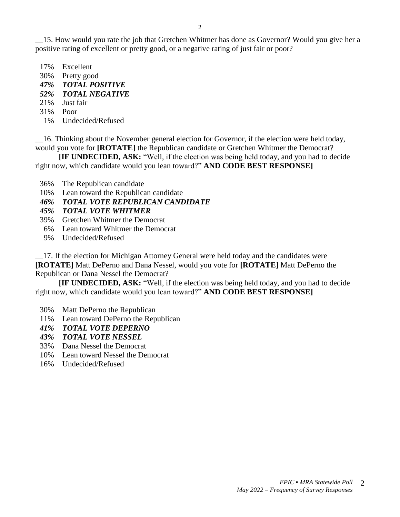- 17% Excellent
- 30% Pretty good
- *47% TOTAL POSITIVE*
- *52% TOTAL NEGATIVE*
- 21% Just fair
- 31% Poor
- 1% Undecided/Refused

\_\_16. Thinking about the November general election for Governor, if the election were held today, would you vote for **[ROTATE]** the Republican candidate or Gretchen Whitmer the Democrat?

**[IF UNDECIDED, ASK:** "Well, if the election was being held today, and you had to decide right now, which candidate would you lean toward?" **AND CODE BEST RESPONSE]** 

- 36% The Republican candidate
- 10% Lean toward the Republican candidate
- *46% TOTAL VOTE REPUBLICAN CANDIDATE*
- *45% TOTAL VOTE WHITMER*
- 39% Gretchen Whitmer the Democrat
- 6% Lean toward Whitmer the Democrat
- 9% Undecided/Refused

\_\_17. If the election for Michigan Attorney General were held today and the candidates were **[ROTATE]** Matt DePerno and Dana Nessel, would you vote for **[ROTATE]** Matt DePerno the Republican or Dana Nessel the Democrat?

**[IF UNDECIDED, ASK:** "Well, if the election was being held today, and you had to decide right now, which candidate would you lean toward?" **AND CODE BEST RESPONSE]** 

- 30% Matt DePerno the Republican
- 11% Lean toward DePerno the Republican
- *41% TOTAL VOTE DEPERNO*
- *43% TOTAL VOTE NESSEL*
- 33% Dana Nessel the Democrat
- 10% Lean toward Nessel the Democrat
- 16% Undecided/Refused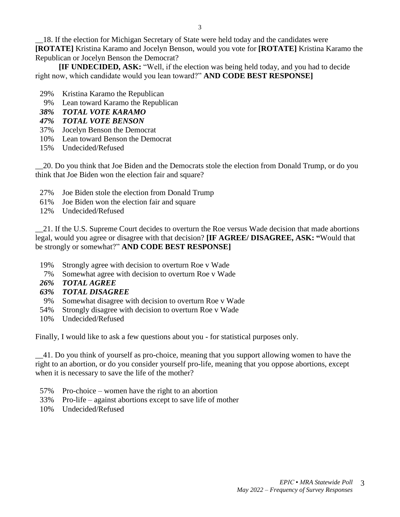**[IF UNDECIDED, ASK:** "Well, if the election was being held today, and you had to decide right now, which candidate would you lean toward?" **AND CODE BEST RESPONSE]** 

- 29% Kristina Karamo the Republican
- 9% Lean toward Karamo the Republican
- *38% TOTAL VOTE KARAMO*
- *47% TOTAL VOTE BENSON*
- 37% Jocelyn Benson the Democrat
- 10% Lean toward Benson the Democrat
- 15% Undecided/Refused

\_\_20. Do you think that Joe Biden and the Democrats stole the election from Donald Trump, or do you think that Joe Biden won the election fair and square?

- 27% Joe Biden stole the election from Donald Trump
- 61% Joe Biden won the election fair and square
- 12% Undecided/Refused

\_\_21. If the U.S. Supreme Court decides to overturn the Roe versus Wade decision that made abortions legal, would you agree or disagree with that decision? **[IF AGREE/ DISAGREE, ASK: "**Would that be strongly or somewhat?" **AND CODE BEST RESPONSE]**

- 19% Strongly agree with decision to overturn Roe v Wade
- 7% Somewhat agree with decision to overturn Roe v Wade
- *26% TOTAL AGREE*
- *63% TOTAL DISAGREE*
- 9% Somewhat disagree with decision to overturn Roe v Wade
- 54% Strongly disagree with decision to overturn Roe v Wade
- 10% Undecided/Refused

Finally, I would like to ask a few questions about you - for statistical purposes only.

\_\_41. Do you think of yourself as pro-choice, meaning that you support allowing women to have the right to an abortion, or do you consider yourself pro-life, meaning that you oppose abortions, except when it is necessary to save the life of the mother?

- 57% Pro-choice women have the right to an abortion
- 33% Pro-life against abortions except to save life of mother
- 10% Undecided/Refused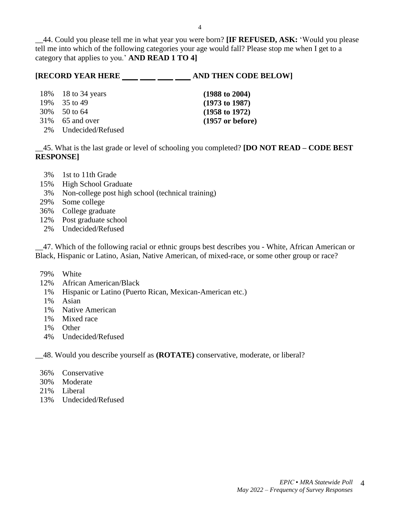\_\_44. Could you please tell me in what year you were born? **[IF REFUSED, ASK:** 'Would you please tell me into which of the following categories your age would fall? Please stop me when I get to a category that applies to you.' **AND READ 1 TO 4]**

## **[RECORD YEAR HERE \_\_\_ \_\_ \_\_ \_\_ \_\_ \_\_ AND THEN CODE BELOW]**

| 18\% 18\, to 34\, years | $(1988 \text{ to } 2004)$  |
|-------------------------|----------------------------|
| 19% 35 to 49            | $(1973 \text{ to } 1987)$  |
| $30\%$ 50 to 64         | $(1958 \text{ to } 1972)$  |
| 31% 65 and over         | $(1957 \text{ or before})$ |
|                         |                            |

2% Undecided/Refused

\_\_45. What is the last grade or level of schooling you completed? **[DO NOT READ – CODE BEST RESPONSE]**

- 3% 1st to 11th Grade
- 15% High School Graduate
- 3% Non-college post high school (technical training)
- 29% Some college
- 36% College graduate
- 12% Post graduate school
- 2% Undecided/Refused

\_\_47. Which of the following racial or ethnic groups best describes you - White, African American or Black, Hispanic or Latino, Asian, Native American, of mixed-race, or some other group or race?

- 79% White
- 12% African American/Black
- 1% Hispanic or Latino (Puerto Rican, Mexican-American etc.)
- 1% Asian
- 1% Native American
- 1% Mixed race
- 1% Other
- 4% Undecided/Refused

\_\_48. Would you describe yourself as **(ROTATE)** conservative, moderate, or liberal?

- 36% Conservative
- 30% Moderate
- 21% Liberal
- 13% Undecided/Refused